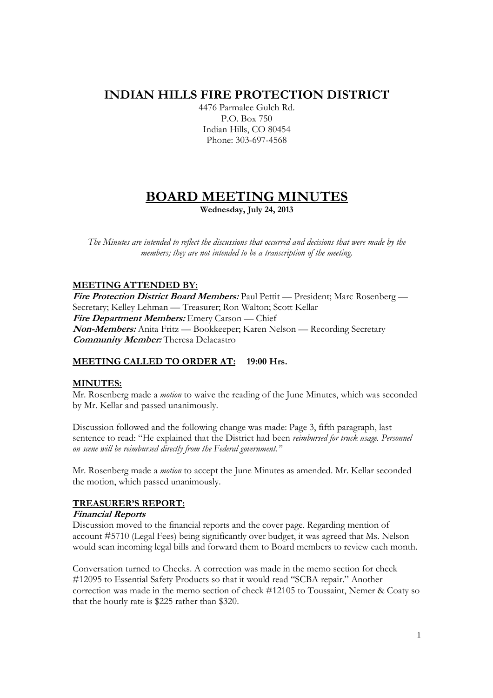## **INDIAN HILLS FIRE PROTECTION DISTRICT**

4476 Parmalee Gulch Rd. P.O. Box 750 Indian Hills, CO 80454 Phone: 303-697-4568

# **BOARD MEETING MINUTES**

**Wednesday, July 24, 2013** 

*The Minutes are intended to reflect the discussions that occurred and decisions that were made by the members; they are not intended to be a transcription of the meeting.* 

## **MEETING ATTENDED BY:**

**Fire Protection District Board Members:** Paul Pettit — President; Marc Rosenberg — Secretary; Kelley Lehman — Treasurer; Ron Walton; Scott Kellar **Fire Department Members:** Emery Carson — Chief **Non-Members:** Anita Fritz — Bookkeeper; Karen Nelson — Recording Secretary **Community Member:** Theresa Delacastro

## **MEETING CALLED TO ORDER AT: 19:00 Hrs.**

## **MINUTES:**

Mr. Rosenberg made a *motion* to waive the reading of the June Minutes, which was seconded by Mr. Kellar and passed unanimously.

Discussion followed and the following change was made: Page 3, fifth paragraph, last sentence to read: "He explained that the District had been *reimbursed for truck usage. Personnel on scene will be reimbursed directly from the Federal government."*

Mr. Rosenberg made a *motion* to accept the June Minutes as amended. Mr. Kellar seconded the motion, which passed unanimously.

## **TREASURER'S REPORT:**

## **Financial Reports**

Discussion moved to the financial reports and the cover page. Regarding mention of account #5710 (Legal Fees) being significantly over budget, it was agreed that Ms. Nelson would scan incoming legal bills and forward them to Board members to review each month.

Conversation turned to Checks. A correction was made in the memo section for check #12095 to Essential Safety Products so that it would read "SCBA repair." Another correction was made in the memo section of check #12105 to Toussaint, Nemer & Coaty so that the hourly rate is \$225 rather than \$320.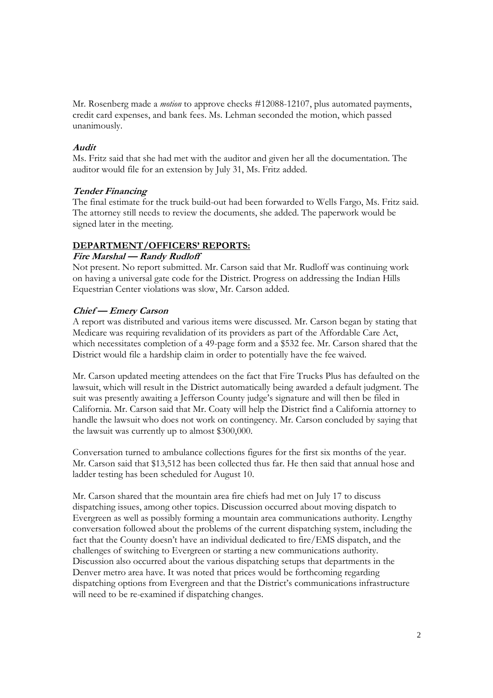Mr. Rosenberg made a *motion* to approve checks #12088-12107, plus automated payments, credit card expenses, and bank fees. Ms. Lehman seconded the motion, which passed unanimously.

#### **Audit**

Ms. Fritz said that she had met with the auditor and given her all the documentation. The auditor would file for an extension by July 31, Ms. Fritz added.

## **Tender Financing**

The final estimate for the truck build-out had been forwarded to Wells Fargo, Ms. Fritz said. The attorney still needs to review the documents, she added. The paperwork would be signed later in the meeting.

#### **DEPARTMENT/OFFICERS' REPORTS:**

#### **Fire Marshal — Randy Rudloff**

Not present. No report submitted. Mr. Carson said that Mr. Rudloff was continuing work on having a universal gate code for the District. Progress on addressing the Indian Hills Equestrian Center violations was slow, Mr. Carson added.

## **Chief — Emery Carson**

A report was distributed and various items were discussed. Mr. Carson began by stating that Medicare was requiring revalidation of its providers as part of the Affordable Care Act, which necessitates completion of a 49-page form and a \$532 fee. Mr. Carson shared that the District would file a hardship claim in order to potentially have the fee waived.

Mr. Carson updated meeting attendees on the fact that Fire Trucks Plus has defaulted on the lawsuit, which will result in the District automatically being awarded a default judgment. The suit was presently awaiting a Jefferson County judge's signature and will then be filed in California. Mr. Carson said that Mr. Coaty will help the District find a California attorney to handle the lawsuit who does not work on contingency. Mr. Carson concluded by saying that the lawsuit was currently up to almost \$300,000.

Conversation turned to ambulance collections figures for the first six months of the year. Mr. Carson said that \$13,512 has been collected thus far. He then said that annual hose and ladder testing has been scheduled for August 10.

Mr. Carson shared that the mountain area fire chiefs had met on July 17 to discuss dispatching issues, among other topics. Discussion occurred about moving dispatch to Evergreen as well as possibly forming a mountain area communications authority. Lengthy conversation followed about the problems of the current dispatching system, including the fact that the County doesn't have an individual dedicated to fire/EMS dispatch, and the challenges of switching to Evergreen or starting a new communications authority. Discussion also occurred about the various dispatching setups that departments in the Denver metro area have. It was noted that prices would be forthcoming regarding dispatching options from Evergreen and that the District's communications infrastructure will need to be re-examined if dispatching changes.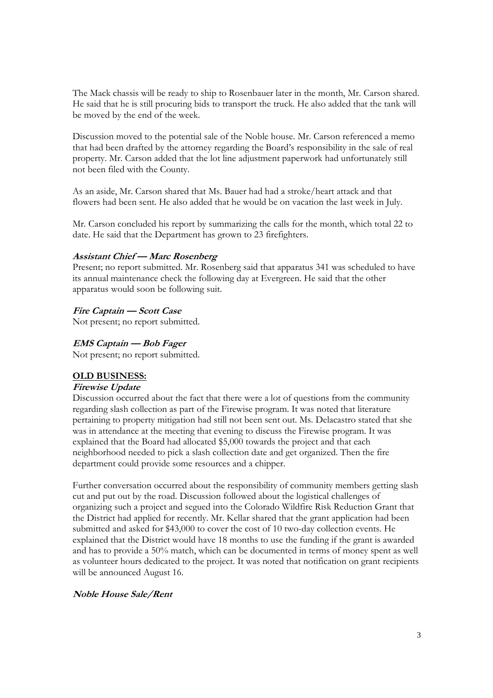The Mack chassis will be ready to ship to Rosenbauer later in the month, Mr. Carson shared. He said that he is still procuring bids to transport the truck. He also added that the tank will be moved by the end of the week.

Discussion moved to the potential sale of the Noble house. Mr. Carson referenced a memo that had been drafted by the attorney regarding the Board's responsibility in the sale of real property. Mr. Carson added that the lot line adjustment paperwork had unfortunately still not been filed with the County.

As an aside, Mr. Carson shared that Ms. Bauer had had a stroke/heart attack and that flowers had been sent. He also added that he would be on vacation the last week in July.

Mr. Carson concluded his report by summarizing the calls for the month, which total 22 to date. He said that the Department has grown to 23 firefighters.

## **Assistant Chief — Marc Rosenberg**

Present; no report submitted. Mr. Rosenberg said that apparatus 341 was scheduled to have its annual maintenance check the following day at Evergreen. He said that the other apparatus would soon be following suit.

#### **Fire Captain — Scott Case**

Not present; no report submitted.

#### **EMS Captain — Bob Fager**

Not present; no report submitted.

#### **OLD BUSINESS:**

## **Firewise Update**

Discussion occurred about the fact that there were a lot of questions from the community regarding slash collection as part of the Firewise program. It was noted that literature pertaining to property mitigation had still not been sent out. Ms. Delacastro stated that she was in attendance at the meeting that evening to discuss the Firewise program. It was explained that the Board had allocated \$5,000 towards the project and that each neighborhood needed to pick a slash collection date and get organized. Then the fire department could provide some resources and a chipper.

Further conversation occurred about the responsibility of community members getting slash cut and put out by the road. Discussion followed about the logistical challenges of organizing such a project and segued into the Colorado Wildfire Risk Reduction Grant that the District had applied for recently. Mr. Kellar shared that the grant application had been submitted and asked for \$43,000 to cover the cost of 10 two-day collection events. He explained that the District would have 18 months to use the funding if the grant is awarded and has to provide a 50% match, which can be documented in terms of money spent as well as volunteer hours dedicated to the project. It was noted that notification on grant recipients will be announced August 16.

#### **Noble House Sale/Rent**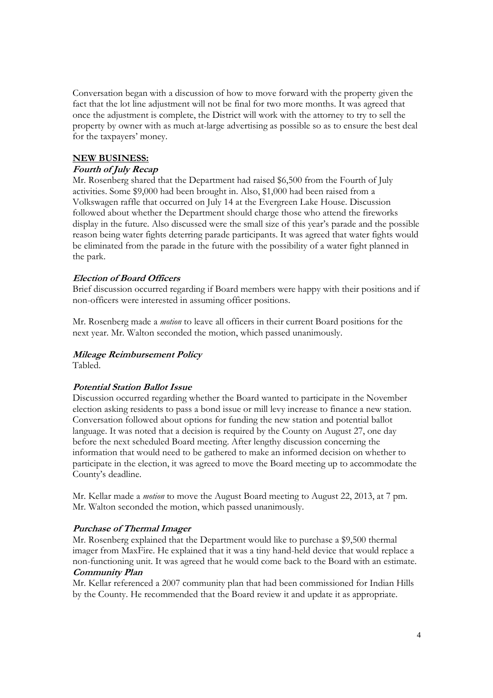Conversation began with a discussion of how to move forward with the property given the fact that the lot line adjustment will not be final for two more months. It was agreed that once the adjustment is complete, the District will work with the attorney to try to sell the property by owner with as much at-large advertising as possible so as to ensure the best deal for the taxpayers' money.

## **NEW BUSINESS:**

## **Fourth of July Recap**

Mr. Rosenberg shared that the Department had raised \$6,500 from the Fourth of July activities. Some \$9,000 had been brought in. Also, \$1,000 had been raised from a Volkswagen raffle that occurred on July 14 at the Evergreen Lake House. Discussion followed about whether the Department should charge those who attend the fireworks display in the future. Also discussed were the small size of this year's parade and the possible reason being water fights deterring parade participants. It was agreed that water fights would be eliminated from the parade in the future with the possibility of a water fight planned in the park.

## **Election of Board Officers**

Brief discussion occurred regarding if Board members were happy with their positions and if non-officers were interested in assuming officer positions.

Mr. Rosenberg made a *motion* to leave all officers in their current Board positions for the next year. Mr. Walton seconded the motion, which passed unanimously.

#### **Mileage Reimbursement Policy**

Tabled.

## **Potential Station Ballot Issue**

Discussion occurred regarding whether the Board wanted to participate in the November election asking residents to pass a bond issue or mill levy increase to finance a new station. Conversation followed about options for funding the new station and potential ballot language. It was noted that a decision is required by the County on August 27, one day before the next scheduled Board meeting. After lengthy discussion concerning the information that would need to be gathered to make an informed decision on whether to participate in the election, it was agreed to move the Board meeting up to accommodate the County's deadline.

Mr. Kellar made a *motion* to move the August Board meeting to August 22, 2013, at 7 pm. Mr. Walton seconded the motion, which passed unanimously.

#### **Purchase of Thermal Imager**

Mr. Rosenberg explained that the Department would like to purchase a \$9,500 thermal imager from MaxFire. He explained that it was a tiny hand-held device that would replace a non-functioning unit. It was agreed that he would come back to the Board with an estimate. **Community Plan** 

Mr. Kellar referenced a 2007 community plan that had been commissioned for Indian Hills by the County. He recommended that the Board review it and update it as appropriate.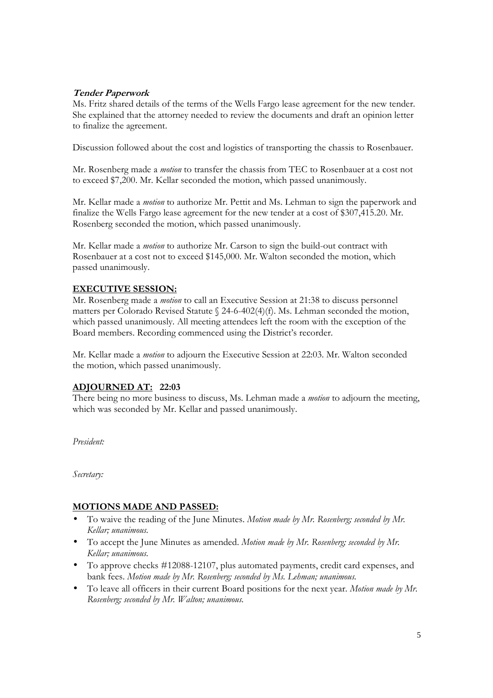## **Tender Paperwork**

Ms. Fritz shared details of the terms of the Wells Fargo lease agreement for the new tender. She explained that the attorney needed to review the documents and draft an opinion letter to finalize the agreement.

Discussion followed about the cost and logistics of transporting the chassis to Rosenbauer.

Mr. Rosenberg made a *motion* to transfer the chassis from TEC to Rosenbauer at a cost not to exceed \$7,200. Mr. Kellar seconded the motion, which passed unanimously.

Mr. Kellar made a *motion* to authorize Mr. Pettit and Ms. Lehman to sign the paperwork and finalize the Wells Fargo lease agreement for the new tender at a cost of \$307,415.20. Mr. Rosenberg seconded the motion, which passed unanimously.

Mr. Kellar made a *motion* to authorize Mr. Carson to sign the build-out contract with Rosenbauer at a cost not to exceed \$145,000. Mr. Walton seconded the motion, which passed unanimously.

## **EXECUTIVE SESSION:**

Mr. Rosenberg made a *motion* to call an Executive Session at 21:38 to discuss personnel matters per Colorado Revised Statute § 24-6-402(4)(f). Ms. Lehman seconded the motion, which passed unanimously. All meeting attendees left the room with the exception of the Board members. Recording commenced using the District's recorder.

Mr. Kellar made a *motion* to adjourn the Executive Session at 22:03. Mr. Walton seconded the motion, which passed unanimously.

## **ADJOURNED AT: 22:03**

There being no more business to discuss, Ms. Lehman made a *motion* to adjourn the meeting, which was seconded by Mr. Kellar and passed unanimously.

*President:* 

*Secretary:* 

## **MOTIONS MADE AND PASSED:**

- To waive the reading of the June Minutes. *Motion made by Mr. Rosenberg; seconded by Mr. Kellar; unanimous.*
- To accept the June Minutes as amended. *Motion made by Mr. Rosenberg; seconded by Mr. Kellar; unanimous.*
- To approve checks #12088-12107, plus automated payments, credit card expenses, and bank fees. *Motion made by Mr. Rosenberg; seconded by Ms. Lehman; unanimous.*
- To leave all officers in their current Board positions for the next year. *Motion made by Mr. Rosenberg; seconded by Mr. Walton; unanimous.*